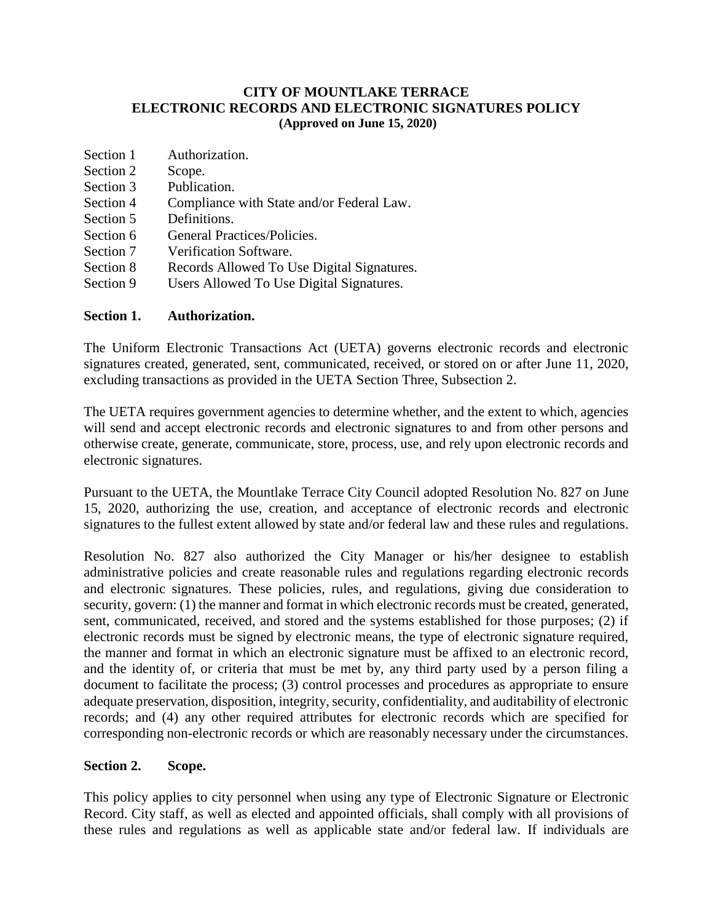#### **CITY OF MOUNTLAKE TERRACE ELECTRONIC RECORDS AND ELECTRONIC SIGNATURES POLICY (Approved on June 15, 2020)**

| Section 1 | Authorization. |
|-----------|----------------|
|           |                |

- Section 2 Scope.
- Section 3 Publication.
- Section 4 Compliance with State and/or Federal Law.
- Section 5 Definitions.
- Section 6 General Practices/Policies.
- Section 7 Verification Software.
- Section 8 Records Allowed To Use Digital Signatures.
- Section 9 Users Allowed To Use Digital Signatures.

# **Section 1. Authorization.**

The Uniform Electronic Transactions Act (UETA) governs electronic records and electronic signatures created, generated, sent, communicated, received, or stored on or after June 11, 2020, excluding transactions as provided in the UETA Section Three, Subsection 2.

The UETA requires government agencies to determine whether, and the extent to which, agencies will send and accept electronic records and electronic signatures to and from other persons and otherwise create, generate, communicate, store, process, use, and rely upon electronic records and electronic signatures.

Pursuant to the UETA, the Mountlake Terrace City Council adopted Resolution No. 827 on June 15, 2020, authorizing the use, creation, and acceptance of electronic records and electronic signatures to the fullest extent allowed by state and/or federal law and these rules and regulations.

Resolution No. 827 also authorized the City Manager or his/her designee to establish administrative policies and create reasonable rules and regulations regarding electronic records and electronic signatures. These policies, rules, and regulations, giving due consideration to security, govern: (1) the manner and format in which electronic records must be created, generated, sent, communicated, received, and stored and the systems established for those purposes; (2) if electronic records must be signed by electronic means, the type of electronic signature required, the manner and format in which an electronic signature must be affixed to an electronic record, and the identity of, or criteria that must be met by, any third party used by a person filing a document to facilitate the process; (3) control processes and procedures as appropriate to ensure adequate preservation, disposition, integrity, security, confidentiality, and auditability of electronic records; and (4) any other required attributes for electronic records which are specified for corresponding non-electronic records or which are reasonably necessary under the circumstances.

## **Section 2. Scope.**

This policy applies to city personnel when using any type of Electronic Signature or Electronic Record. City staff, as well as elected and appointed officials, shall comply with all provisions of these rules and regulations as well as applicable state and/or federal law. If individuals are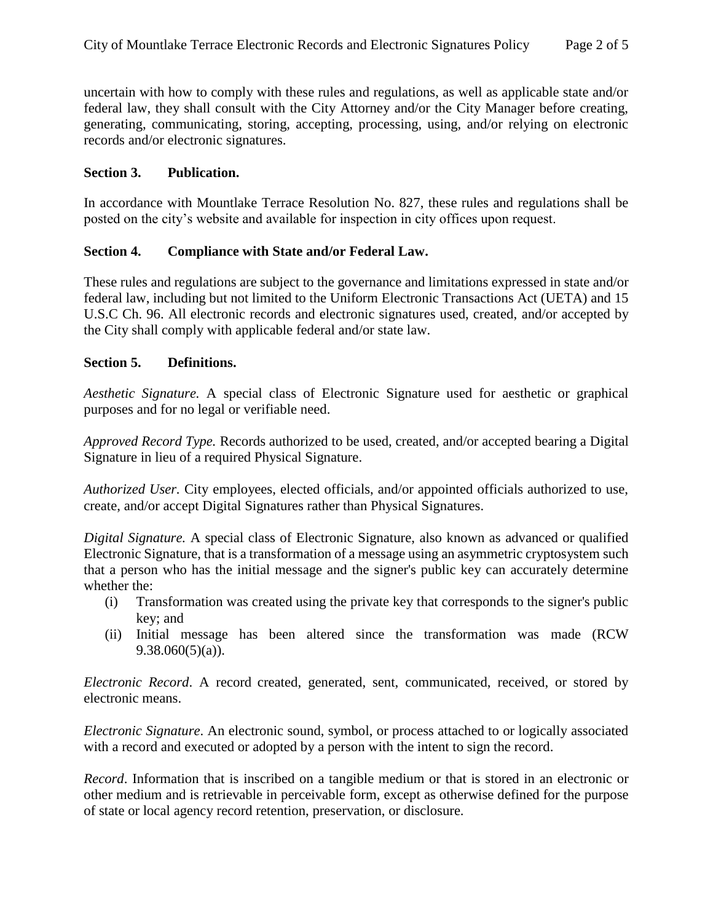uncertain with how to comply with these rules and regulations, as well as applicable state and/or federal law, they shall consult with the City Attorney and/or the City Manager before creating, generating, communicating, storing, accepting, processing, using, and/or relying on electronic records and/or electronic signatures.

#### **Section 3. Publication.**

In accordance with Mountlake Terrace Resolution No. 827, these rules and regulations shall be posted on the city's website and available for inspection in city offices upon request.

#### **Section 4. Compliance with State and/or Federal Law.**

These rules and regulations are subject to the governance and limitations expressed in state and/or federal law, including but not limited to the Uniform Electronic Transactions Act (UETA) and 15 U.S.C Ch. 96. All electronic records and electronic signatures used, created, and/or accepted by the City shall comply with applicable federal and/or state law.

#### **Section 5. Definitions.**

*Aesthetic Signature.* A special class of Electronic Signature used for aesthetic or graphical purposes and for no legal or verifiable need.

*Approved Record Type.* Records authorized to be used, created, and/or accepted bearing a Digital Signature in lieu of a required Physical Signature.

*Authorized User.* City employees, elected officials, and/or appointed officials authorized to use, create, and/or accept Digital Signatures rather than Physical Signatures.

*Digital Signature.* A special class of Electronic Signature, also known as advanced or qualified Electronic Signature, that is a transformation of a message using an asymmetric cryptosystem such that a person who has the initial message and the signer's public key can accurately determine whether the:

- (i) Transformation was created using the private key that corresponds to the signer's public key; and
- (ii) Initial message has been altered since the transformation was made (RCW  $9.38.060(5)(a)$ ).

*Electronic Record*. A record created, generated, sent, communicated, received, or stored by electronic means.

*Electronic Signature*. An electronic sound, symbol, or process attached to or logically associated with a record and executed or adopted by a person with the intent to sign the record.

*Record*. Information that is inscribed on a tangible medium or that is stored in an electronic or other medium and is retrievable in perceivable form, except as otherwise defined for the purpose of state or local agency record retention, preservation, or disclosure.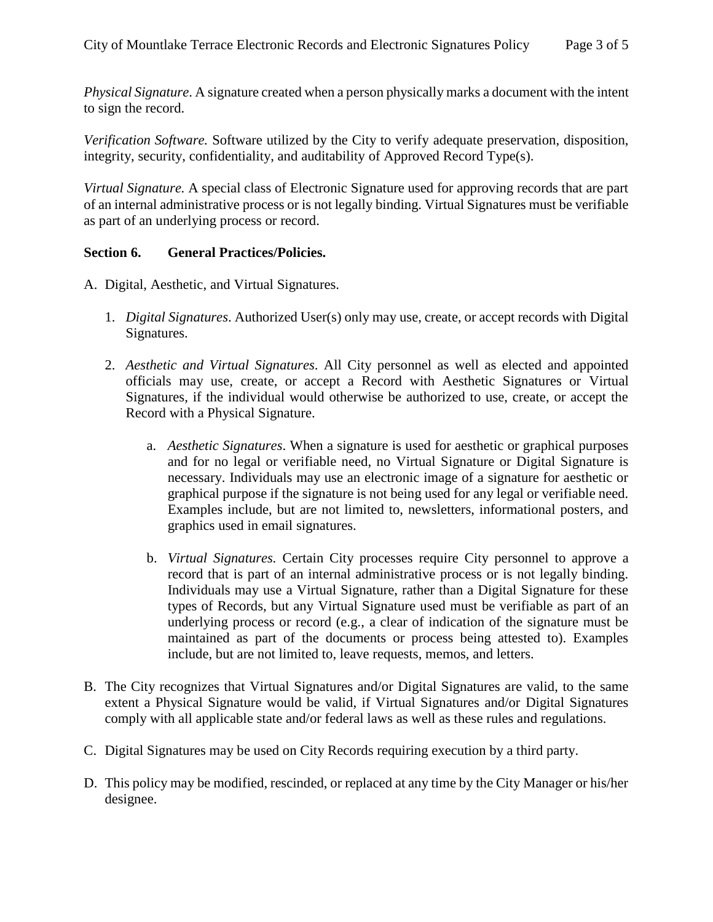*Physical Signature*. A signature created when a person physically marks a document with the intent to sign the record.

*Verification Software.* Software utilized by the City to verify adequate preservation, disposition, integrity, security, confidentiality, and auditability of Approved Record Type(s).

*Virtual Signature.* A special class of Electronic Signature used for approving records that are part of an internal administrative process or is not legally binding. Virtual Signatures must be verifiable as part of an underlying process or record.

## **Section 6. General Practices/Policies.**

- A. Digital, Aesthetic, and Virtual Signatures.
	- 1. *Digital Signatures*. Authorized User(s) only may use, create, or accept records with Digital Signatures.
	- 2. *Aesthetic and Virtual Signatures*. All City personnel as well as elected and appointed officials may use, create, or accept a Record with Aesthetic Signatures or Virtual Signatures, if the individual would otherwise be authorized to use, create, or accept the Record with a Physical Signature.
		- a. *Aesthetic Signatures*. When a signature is used for aesthetic or graphical purposes and for no legal or verifiable need, no Virtual Signature or Digital Signature is necessary. Individuals may use an electronic image of a signature for aesthetic or graphical purpose if the signature is not being used for any legal or verifiable need. Examples include, but are not limited to, newsletters, informational posters, and graphics used in email signatures.
		- b. *Virtual Signatures.* Certain City processes require City personnel to approve a record that is part of an internal administrative process or is not legally binding. Individuals may use a Virtual Signature, rather than a Digital Signature for these types of Records, but any Virtual Signature used must be verifiable as part of an underlying process or record (e.g., a clear of indication of the signature must be maintained as part of the documents or process being attested to). Examples include, but are not limited to, leave requests, memos, and letters.
- B. The City recognizes that Virtual Signatures and/or Digital Signatures are valid, to the same extent a Physical Signature would be valid, if Virtual Signatures and/or Digital Signatures comply with all applicable state and/or federal laws as well as these rules and regulations.
- C. Digital Signatures may be used on City Records requiring execution by a third party.
- D. This policy may be modified, rescinded, or replaced at any time by the City Manager or his/her designee.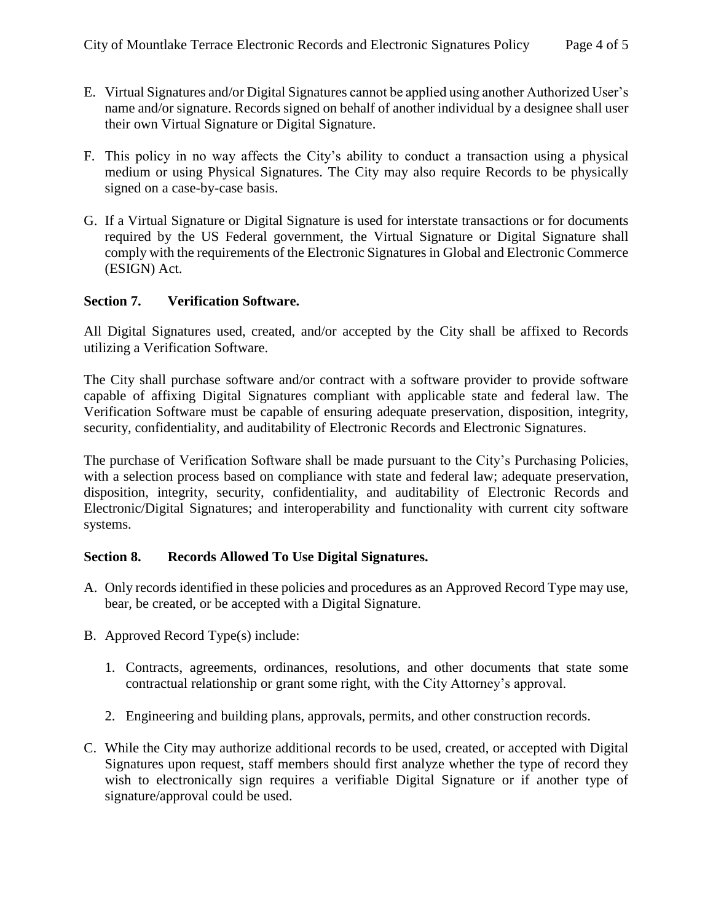- E. Virtual Signatures and/or Digital Signatures cannot be applied using another Authorized User's name and/or signature. Records signed on behalf of another individual by a designee shall user their own Virtual Signature or Digital Signature.
- F. This policy in no way affects the City's ability to conduct a transaction using a physical medium or using Physical Signatures. The City may also require Records to be physically signed on a case-by-case basis.
- G. If a Virtual Signature or Digital Signature is used for interstate transactions or for documents required by the US Federal government, the Virtual Signature or Digital Signature shall comply with the requirements of the Electronic Signatures in Global and Electronic Commerce (ESIGN) Act.

## **Section 7. Verification Software.**

All Digital Signatures used, created, and/or accepted by the City shall be affixed to Records utilizing a Verification Software.

The City shall purchase software and/or contract with a software provider to provide software capable of affixing Digital Signatures compliant with applicable state and federal law. The Verification Software must be capable of ensuring adequate preservation, disposition, integrity, security, confidentiality, and auditability of Electronic Records and Electronic Signatures.

The purchase of Verification Software shall be made pursuant to the City's Purchasing Policies, with a selection process based on compliance with state and federal law; adequate preservation, disposition, integrity, security, confidentiality, and auditability of Electronic Records and Electronic/Digital Signatures; and interoperability and functionality with current city software systems.

#### **Section 8. Records Allowed To Use Digital Signatures.**

- A. Only records identified in these policies and procedures as an Approved Record Type may use, bear, be created, or be accepted with a Digital Signature.
- B. Approved Record Type(s) include:
	- 1. Contracts, agreements, ordinances, resolutions, and other documents that state some contractual relationship or grant some right, with the City Attorney's approval.
	- 2. Engineering and building plans, approvals, permits, and other construction records.
- C. While the City may authorize additional records to be used, created, or accepted with Digital Signatures upon request, staff members should first analyze whether the type of record they wish to electronically sign requires a verifiable Digital Signature or if another type of signature/approval could be used.